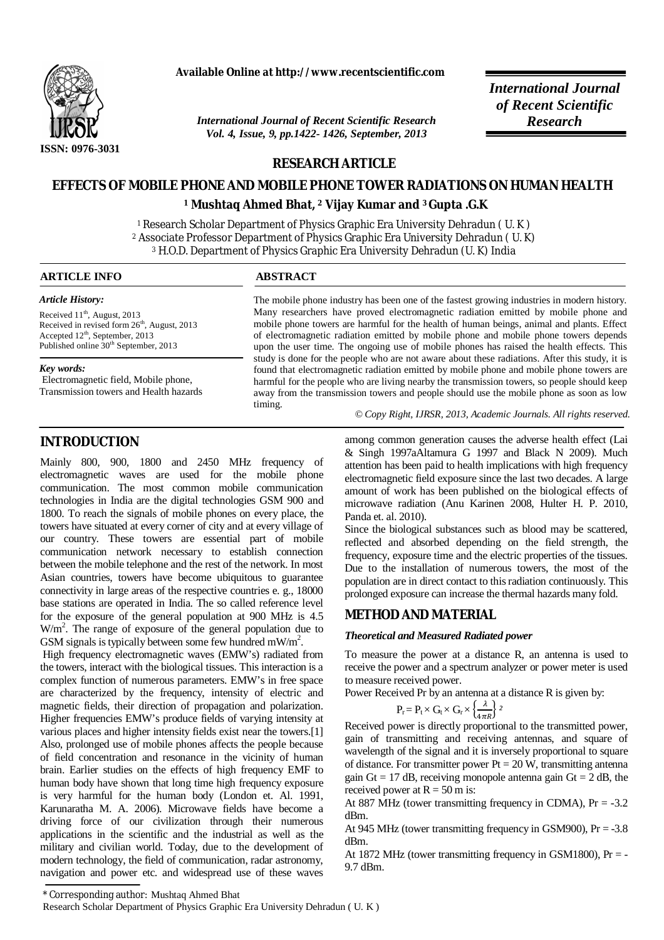

**Available Online at http://www.recentscientific.com**

*International Journal of Recent Scientific Research Research Vol. 4, Issue, 9, pp.1422- 1426, September, 2013*

*International Journal of Recent Scientific* 

# **RESEARCH ARTICLE**

# **EFFECTS OF MOBILE PHONE AND MOBILE PHONE TOWER RADIATIONS ON HUMAN HEALTH**

**<sup>1</sup> Mushtaq Ahmed Bhat, <sup>2</sup>Vijay Kumar and 3 Gupta .G.K**

<sup>1</sup>Research Scholar Department of Physics Graphic Era University Dehradun ( U. K ) <sup>2</sup> Associate Professor Department of Physics Graphic Era University Dehradun ( U. K) <sup>3</sup> H.O.D. Department of Physics Graphic Era University Dehradun (U. K) India

#### **ARTICLE INFO ABSTRACT**

*Article History:* Received 11<sup>th</sup>, August, 2013 Received in revised form  $26<sup>th</sup>$ , August, 2013 Accepted  $12<sup>th</sup>$ , September, 2013 Published online 30<sup>th</sup> September, 2013

#### *Key words:*

Electromagnetic field, Mobile phone, Transmission towers and Health hazards The mobile phone industry has been one of the fastest growing industries in modern history. Many researchers have proved electromagnetic radiation emitted by mobile phone and mobile phone towers are harmful for the health of human beings, animal and plants. Effect of electromagnetic radiation emitted by mobile phone and mobile phone towers depends upon the user time. The ongoing use of mobile phones has raised the health effects. This study is done for the people who are not aware about these radiations. After this study, it is found that electromagnetic radiation emitted by mobile phone and mobile phone towers are harmful for the people who are living nearby the transmission towers, so people should keep away from the transmission towers and people should use the mobile phone as soon as low timing.

 *© Copy Right, IJRSR, 2013, Academic Journals. All rights reserved.* 

# **INTRODUCTION**

Mainly 800, 900, 1800 and 2450 MHz frequency of electromagnetic waves are used for the mobile phone communication. The most common mobile communication technologies in India are the digital technologies GSM 900 and 1800. To reach the signals of mobile phones on every place, the towers have situated at every corner of city and at every village of our country. These towers are essential part of mobile communication network necessary to establish connection between the mobile telephone and the rest of the network. In most Asian countries, towers have become ubiquitous to guarantee connectivity in large areas of the respective countries e. g., 18000 base stations are operated in India. The so called reference level for the exposure of the general population at 900 MHz is 4.5 W/m<sup>2</sup>. The range of exposure of the general population due to GSM signals is typically between some few hundred mW/m<sup>2</sup>.

High frequency electromagnetic waves (EMW's) radiated from the towers, interact with the biological tissues. This interaction is a complex function of numerous parameters. EMW's in free space are characterized by the frequency, intensity of electric and magnetic fields, their direction of propagation and polarization. Higher frequencies EMW's produce fields of varying intensity at various places and higher intensity fields exist near the towers.[1] Also, prolonged use of mobile phones affects the people because of field concentration and resonance in the vicinity of human brain. Earlier studies on the effects of high frequency EMF to human body have shown that long time high frequency exposure is very harmful for the human body (London et. Al. 1991, Karunaratha M. A. 2006). Microwave fields have become a driving force of our civilization through their numerous applications in the scientific and the industrial as well as the military and civilian world. Today, due to the development of modern technology, the field of communication, radar astronomy, navigation and power etc. and widespread use of these waves

among common generation causes the adverse health effect (Lai & Singh 1997aAltamura G 1997 and Black N 2009). Much attention has been paid to health implications with high frequency electromagnetic field exposure since the last two decades. A large amount of work has been published on the biological effects of microwave radiation (Anu Karinen 2008, Hulter H. P. 2010, Panda et. al. 2010).

Since the biological substances such as blood may be scattered, reflected and absorbed depending on the field strength, the frequency, exposure time and the electric properties of the tissues. Due to the installation of numerous towers, the most of the population are in direct contact to thisradiation continuously. This prolonged exposure can increase the thermal hazards many fold.

## **METHOD AND MATERIAL**

#### *Theoretical and Measured Radiated power*

To measure the power at a distance R, an antenna is used to receive the power and a spectrum analyzer or power meter is used to measure received power.

Power Received Pr by an antenna at a distance R is given by:

$$
\mathrm{P_r}\!=\mathrm{P_t}\!\times\mathrm{G_t}\!\times\mathrm{G_r}\!\times\!\left\{\!\frac{\lambda}{4\pi R}\!\right\}2
$$

Received power is directly proportional to the transmitted power, gain of transmitting and receiving antennas, and square of wavelength of the signal and it is inversely proportional to square of distance. For transmitter power  $Pt = 20 W$ , transmitting antenna gain Gt = 17 dB, receiving monopole antenna gain Gt = 2 dB, the received power at  $R = 50$  m is:

At 887 MHz (tower transmitting frequency in CDMA),  $Pr = -3.2$ dBm.

At 945 MHz (tower transmitting frequency in GSM900),  $Pr = -3.8$ dBm.

At 1872 MHz (tower transmitting frequency in GSM1800),  $Pr = -$ 9.7 dBm.

Research Scholar Department of Physics Graphic Era University Dehradun ( U. K )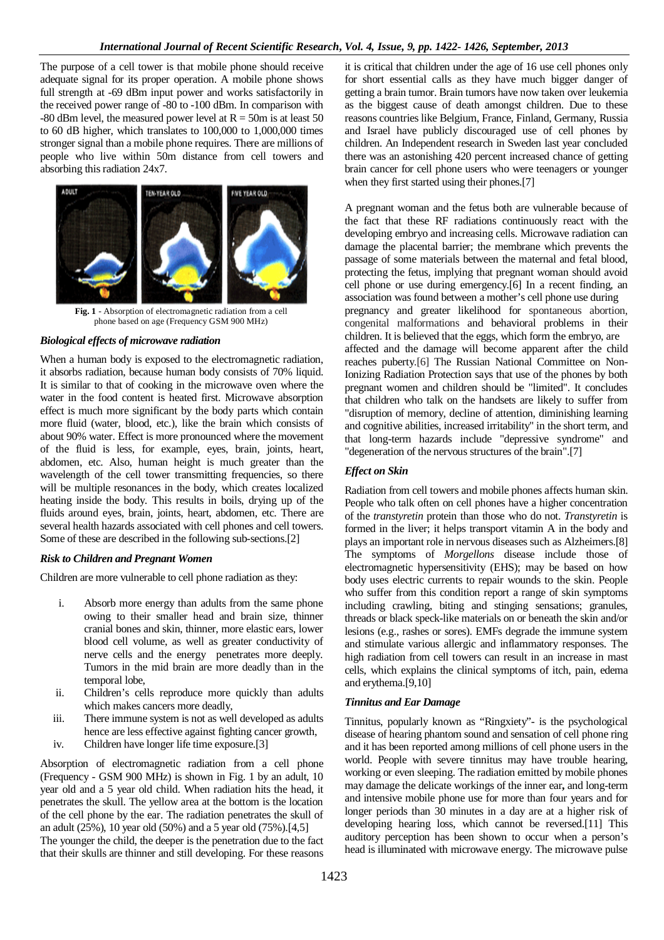The purpose of a cell tower is that mobile phone should receive adequate signal for its proper operation. A mobile phone shows full strength at -69 dBm input power and works satisfactorily in the received power range of -80 to -100 dBm. In comparison with  $-80$  dBm level, the measured power level at  $R = 50$ m is at least 50 to 60 dB higher, which translates to 100,000 to 1,000,000 times stronger signal than a mobile phone requires. There are millions of people who live within 50m distance from cell towers and absorbing this radiation 24x7.



**Fig. 1** - Absorption of electromagnetic radiation from a cell phone based on age (Frequency GSM 900 MHz)

## *Biological effects of microwave radiation*

When a human body is exposed to the electromagnetic radiation, it absorbs radiation, because human body consists of 70% liquid. It is similar to that of cooking in the microwave oven where the water in the food content is heated first. Microwave absorption effect is much more significant by the body parts which contain more fluid (water, blood, etc.), like the brain which consists of about 90% water. Effect is more pronounced where the movement of the fluid is less, for example, eyes, brain, joints, heart, abdomen, etc. Also, human height is much greater than the wavelength of the cell tower transmitting frequencies, so there will be multiple resonances in the body, which creates localized heating inside the body. This results in boils, drying up of the fluids around eyes, brain, joints, heart, abdomen, etc. There are several health hazards associated with cell phones and cell towers. Some of these are described in the following sub-sections.[2]

## *Risk to Children and Pregnant Women*

Children are more vulnerable to cell phone radiation as they:

- i. Absorb more energy than adults from the same phone owing to their smaller head and brain size, thinner cranial bones and skin, thinner, more elastic ears, lower blood cell volume, as well as greater conductivity of nerve cells and the energy penetrates more deeply. Tumors in the mid brain are more deadly than in the temporal lobe,
- ii. Children's cells reproduce more quickly than adults which makes cancers more deadly,
- iii. There immune system is not as well developed as adults hence are less effective against fighting cancer growth,
- iv. Children have longer life time exposure.[3]

Absorption of electromagnetic radiation from a cell phone (Frequency - GSM 900 MHz) is shown in Fig. 1 by an adult, 10 year old and a 5 year old child. When radiation hits the head, it penetrates the skull. The yellow area at the bottom is the location of the cell phone by the ear. The radiation penetrates the skull of an adult (25%), 10 year old (50%) and a 5 year old (75%).[4,5] The younger the child, the deeper is the penetration due to the fact that their skulls are thinner and still developing. For these reasons

it is critical that children under the age of 16 use cell phones only for short essential calls as they have much bigger danger of getting a brain tumor. Brain tumors have now taken over leukemia as the biggest cause of death amongst children. Due to these reasons countries like Belgium, France, Finland, Germany, Russia and Israel have publicly discouraged use of cell phones by children. An Independent research in Sweden last year concluded there was an astonishing 420 percent increased chance of getting brain cancer for cell phone users who were teenagers or younger when they first started using their phones.[7]

A pregnant woman and the fetus both are vulnerable because of the fact that these RF radiations continuously react with the developing embryo and increasing cells. Microwave radiation can damage the placental barrier; the membrane which prevents the passage of some materials between the maternal and fetal blood, protecting the fetus, implying that pregnant woman should avoid cell phone or use during emergency.[6] In a recent finding, an association was found between a mother's cell phone use during pregnancy and greater likelihood for spontaneous abortion, congenital malformations and behavioral problems in their children. It is believed that the eggs, which form the embryo, are affected and the damage will become apparent after the child reaches puberty.[6] The Russian National Committee on Non-Ionizing Radiation Protection says that use of the phones by both pregnant women and children should be "limited". It concludes that children who talk on the handsets are likely to suffer from "disruption of memory, decline of attention, diminishing learning and cognitive abilities, increased irritability" in the short term, and that long-term hazards include "depressive syndrome" and "degeneration of the nervous structures of the brain".[7]

## *Effect on Skin*

Radiation from cell towers and mobile phones affects human skin. People who talk often on cell phones have a higher concentration of the *transtyretin* protein than those who do not. *Transtyretin* is formed in the liver; it helps transport vitamin A in the body and plays an important role in nervous diseases such as Alzheimers.[8] The symptoms of *Morgellons* disease include those of electromagnetic hypersensitivity (EHS); may be based on how body uses electric currents to repair wounds to the skin. People who suffer from this condition report a range of skin symptoms including crawling, biting and stinging sensations; granules, threads or black speck-like materials on or beneath the skin and/or lesions (e.g., rashes or sores). EMFs degrade the immune system and stimulate various allergic and inflammatory responses. The high radiation from cell towers can result in an increase in mast cells, which explains the clinical symptoms of itch, pain, edema and erythema.[9,10]

## *Tinnitus and Ear Damage*

Tinnitus, popularly known as "Ringxiety"- is the psychological disease of hearing phantom sound and sensation of cell phone ring and it has been reported among millions of cell phone users in the world. People with severe tinnitus may have trouble hearing, working or even sleeping. The radiation emitted by mobile phones may damage the delicate workings of the inner ear**,** and long-term and intensive mobile phone use for more than four years and for longer periods than 30 minutes in a day are at a higher risk of developing hearing loss, which cannot be reversed.[11] This auditory perception has been shown to occur when a person's head is illuminated with microwave energy. The microwave pulse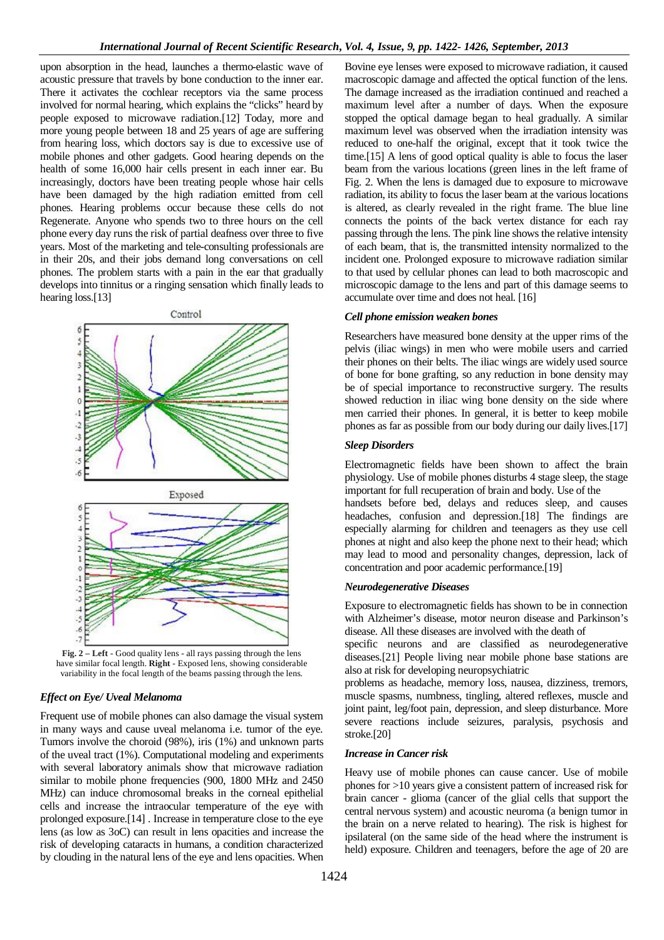upon absorption in the head, launches a thermo-elastic wave of acoustic pressure that travels by bone conduction to the inner ear. There it activates the cochlear receptors via the same process involved for normal hearing, which explains the "clicks" heard by people exposed to microwave radiation.[12] Today, more and more young people between 18 and 25 years of age are suffering from hearing loss, which doctors say is due to excessive use of mobile phones and other gadgets. Good hearing depends on the health of some 16,000 hair cells present in each inner ear. Bu increasingly, doctors have been treating people whose hair cells have been damaged by the high radiation emitted from cell phones. Hearing problems occur because these cells do not Regenerate. Anyone who spends two to three hours on the cell phone every day runs the risk of partial deafness over three to five years. Most of the marketing and tele-consulting professionals are in their 20s, and their jobs demand long conversations on cell phones. The problem starts with a pain in the ear that gradually develops into tinnitus or a ringing sensation which finally leads to hearing loss.[13]



**Fig. 2 – Left -** Good quality lens - all rays passing through the lens have similar focal length. **Right -** Exposed lens, showing considerable variability in the focal length of the beams passing through the lens.

#### *Effect on Eye/ Uveal Melanoma*

Frequent use of mobile phones can also damage the visual system in many ways and cause uveal melanoma i.e. tumor of the eye. Tumors involve the choroid (98%), iris (1%) and unknown parts of the uveal tract (1%). Computational modeling and experiments with several laboratory animals show that microwave radiation similar to mobile phone frequencies (900, 1800 MHz and 2450 MHz) can induce chromosomal breaks in the corneal epithelial cells and increase the intraocular temperature of the eye with prolonged exposure.[14] . Increase in temperature close to the eye lens (as low as 3oC) can result in lens opacities and increase the risk of developing cataracts in humans, a condition characterized by clouding in the natural lens of the eye and lens opacities. When maximum level after a number of days. When the exposure stopped the optical damage began to heal gradually. A similar maximum level was observed when the irradiation intensity was reduced to one-half the original, except that it took twice the time.[15] A lens of good optical quality is able to focus the laser beam from the various locations (green lines in the left frame of Fig. 2. When the lens is damaged due to exposure to microwave radiation, its ability to focus the laser beam at the various locations is altered, as clearly revealed in the right frame. The blue line connects the points of the back vertex distance for each ray passing through the lens. The pink line shows the relative intensity of each beam, that is, the transmitted intensity normalized to the incident one. Prolonged exposure to microwave radiation similar to that used by cellular phones can lead to both macroscopic and microscopic damage to the lens and part of this damage seems to accumulate over time and does not heal. [16] *Cell phone emission weaken bones* Researchers have measured bone density at the upper rims of the

Bovine eye lenses were exposed to microwave radiation, it caused macroscopic damage and affected the optical function of the lens. The damage increased as the irradiation continued and reached a

pelvis (iliac wings) in men who were mobile users and carried their phones on their belts. The iliac wings are widely used source of bone for bone grafting, so any reduction in bone density may be of special importance to reconstructive surgery. The results showed reduction in iliac wing bone density on the side where men carried their phones. In general, it is better to keep mobile phones as far as possible from our body during our daily lives.[17]

#### *Sleep Disorders*

Electromagnetic fields have been shown to affect the brain physiology. Use of mobile phones disturbs 4 stage sleep, the stage important for full recuperation of brain and body. Use of the

handsets before bed, delays and reduces sleep, and causes headaches, confusion and depression.[18] The findings are especially alarming for children and teenagers as they use cell phones at night and also keep the phone next to their head; which may lead to mood and personality changes, depression, lack of concentration and poor academic performance.[19]

## *Neurodegenerative Diseases*

Exposure to electromagnetic fields has shown to be in connection with Alzheimer's disease, motor neuron disease and Parkinson's disease. All these diseases are involved with the death of

specific neurons and are classified as neurodegenerative diseases.[21] People living near mobile phone base stations are also at risk for developing neuropsychiatric

problems as headache, memory loss, nausea, dizziness, tremors, muscle spasms, numbness, tingling, altered reflexes, muscle and joint paint, leg/foot pain, depression, and sleep disturbance. More severe reactions include seizures, paralysis, psychosis and stroke.[20]

#### *Increase in Cancer risk*

Heavy use of mobile phones can cause cancer. Use of mobile phones for >10 years give a consistent pattern of increased risk for brain cancer - glioma (cancer of the glial cells that support the central nervous system) and acoustic neuroma (a benign tumor in the brain on a nerve related to hearing). The risk is highest for ipsilateral (on the same side of the head where the instrument is held) exposure. Children and teenagers, before the age of 20 are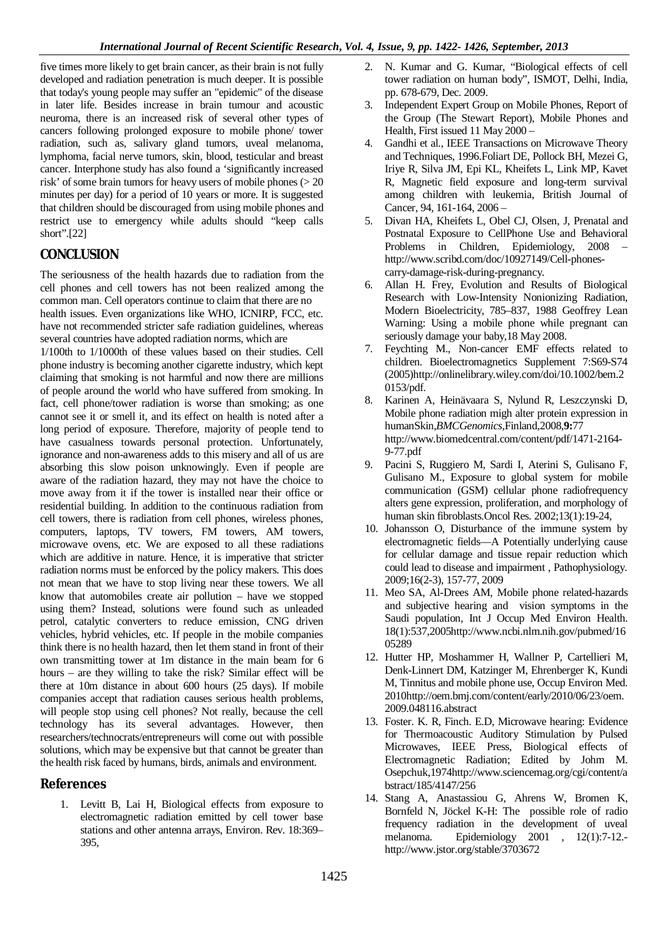five times more likely to get brain cancer, as their brain is not fully developed and radiation penetration is much deeper. It is possible that today's young people may suffer an "epidemic" of the disease in later life. Besides increase in brain tumour and acoustic neuroma, there is an increased risk of several other types of cancers following prolonged exposure to mobile phone/ tower radiation, such as, salivary gland tumors, uveal melanoma, lymphoma, facial nerve tumors, skin, blood, testicular and breast cancer. Interphone study has also found a 'significantly increased risk' of some brain tumors for heavy users of mobile phones (> 20 minutes per day) for a period of 10 years or more. It is suggested that children should be discouraged from using mobile phones and restrict use to emergency while adults should "keep calls short".[22]

# **CONCLUSION**

The seriousness of the health hazards due to radiation from the cell phones and cell towers has not been realized among the common man. Cell operators continue to claim that there are no health issues. Even organizations like WHO, ICNIRP, FCC, etc.

have not recommended stricter safe radiation guidelines, whereas several countries have adopted radiation norms, which are

1/100th to 1/1000th of these values based on their studies. Cell phone industry is becoming another cigarette industry, which kept claiming that smoking is not harmful and now there are millions of people around the world who have suffered from smoking. In fact, cell phone/tower radiation is worse than smoking; as one cannot see it or smell it, and its effect on health is noted after a long period of exposure. Therefore, majority of people tend to have casualness towards personal protection. Unfortunately, ignorance and non-awareness adds to this misery and all of us are absorbing this slow poison unknowingly. Even if people are aware of the radiation hazard, they may not have the choice to move away from it if the tower is installed near their office or residential building. In addition to the continuous radiation from cell towers, there is radiation from cell phones, wireless phones, computers, laptops, TV towers, FM towers, AM towers, microwave ovens, etc. We are exposed to all these radiations which are additive in nature. Hence, it is imperative that stricter radiation norms must be enforced by the policy makers. This does not mean that we have to stop living near these towers. We all know that automobiles create air pollution – have we stopped using them? Instead, solutions were found such as unleaded petrol, catalytic converters to reduce emission, CNG driven vehicles, hybrid vehicles, etc. If people in the mobile companies think there is no health hazard, then let them stand in front of their own transmitting tower at 1m distance in the main beam for 6 hours – are they willing to take the risk? Similar effect will be there at 10m distance in about 600 hours (25 days). If mobile companies accept that radiation causes serious health problems, will people stop using cell phones? Not really, because the cell technology has its several advantages. However, then researchers/technocrats/entrepreneurs will come out with possible solutions, which may be expensive but that cannot be greater than the health risk faced by humans, birds, animals and environment.

# **References**

1. Levitt B, Lai H, Biological effects from exposure to electromagnetic radiation emitted by cell tower base stations and other antenna arrays, Environ. Rev. 18:369– 395,

- 2. N. Kumar and G. Kumar, "Biological effects of cell tower radiation on human body", ISMOT, Delhi, India, pp. 678-679, Dec. 2009.
- 3. Independent Expert Group on Mobile Phones, Report of the Group (The Stewart Report), Mobile Phones and Health, First issued 11 May 2000 –
- 4. Gandhi et al., IEEE Transactions on Microwave Theory and Techniques, 1996.Foliart DE, Pollock BH, Mezei G, Iriye R, Silva JM, Epi KL, Kheifets L, Link MP, Kavet R, Magnetic field exposure and long-term survival among children with leukemia, British Journal of Cancer, 94, 161-164, 2006 –
- 5. Divan HA, Kheifets L, Obel CJ, Olsen, J, Prenatal and Postnatal Exposure to CellPhone Use and Behavioral Problems in Children, Epidemiology, 2008 – http://www.scribd.com/doc/10927149/Cell-phonescarry-damage-risk-during-pregnancy.
- 6. Allan H. Frey, Evolution and Results of Biological Research with Low-Intensity Nonionizing Radiation, Modern Bioelectricity, 785–837, 1988 Geoffrey Lean Warning: Using a mobile phone while pregnant can seriously damage your baby,18 May 2008.
- 7. Feychting M., Non-cancer EMF effects related to children. Bioelectromagnetics Supplement 7:S69-S74 (2005)http://onlinelibrary.wiley.com/doi/10.1002/bem.2 0153/pdf.
- 8. Karinen A, Heinävaara S, Nylund R, Leszczynski D, Mobile phone radiation migh alter protein expression in humanSkin,*BMCGenomics,*Finland,2008,**9:**77 http://www.biomedcentral.com/content/pdf/1471-2164- 9-77.pdf
- 9. Pacini S, Ruggiero M, Sardi I, Aterini S, Gulisano F, Gulisano M., Exposure to global system for mobile communication (GSM) cellular phone radiofrequency alters gene expression, proliferation, and morphology of human skin fibroblasts.Oncol Res. 2002;13(1):19-24,
- 10. Johansson O, Disturbance of the immune system by electromagnetic fields—A Potentially underlying cause for cellular damage and tissue repair reduction which could lead to disease and impairment , Pathophysiology. 2009;16(2-3), 157-77, 2009
- 11. Meo SA, Al-Drees AM, Mobile phone related-hazards and subjective hearing and vision symptoms in the Saudi population, Int J Occup Med Environ Health. 18(1):537,2005http://www.ncbi.nlm.nih.gov/pubmed/16 05289
- 12. Hutter HP, Moshammer H, Wallner P, Cartellieri M, Denk-Linnert DM, Katzinger M, Ehrenberger K, Kundi M, Tinnitus and mobile phone use, Occup Environ Med. 2010http://oem.bmj.com/content/early/2010/06/23/oem. 2009.048116.abstract
- 13. Foster. K. R, Finch. E.D, Microwave hearing: Evidence for Thermoacoustic Auditory Stimulation by Pulsed Microwaves, IEEE Press, Biological effects of Electromagnetic Radiation; Edited by Johm M. Osepchuk,1974http://www.sciencemag.org/cgi/content/a bstract/185/4147/256
- 14. Stang A, Anastassiou G, Ahrens W, Bromen K, Bornfeld N, Jöckel K-H: The possible role of radio frequency radiation in the development of uveal melanoma. Epidemiology 2001 , 12(1):7-12. http://www.jstor.org/stable/3703672